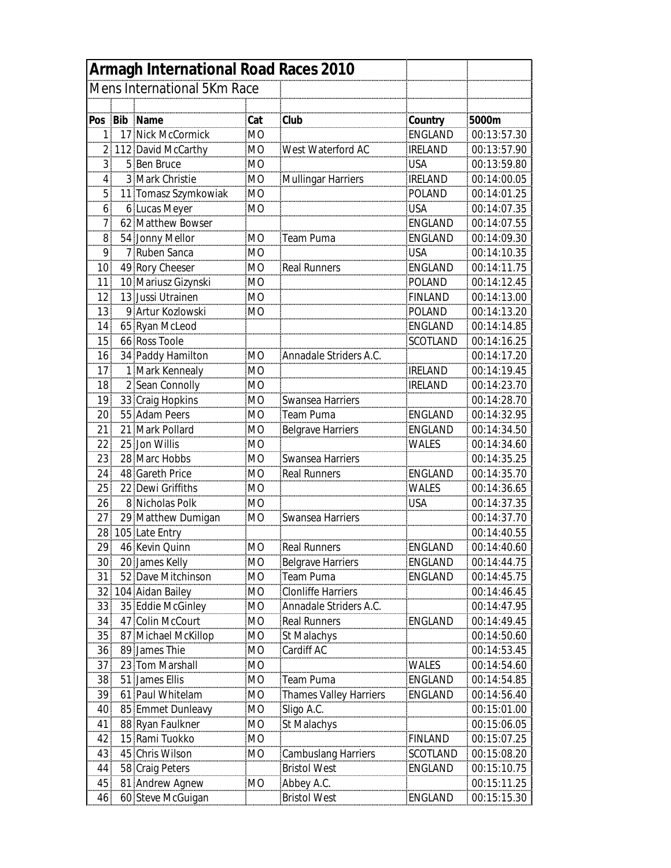| Armagh International Road Races 2010 |  |                                  |                |                                        |                |                            |  |  |  |
|--------------------------------------|--|----------------------------------|----------------|----------------------------------------|----------------|----------------------------|--|--|--|
|                                      |  | Mens International 5Km Race      |                |                                        |                |                            |  |  |  |
|                                      |  |                                  |                |                                        |                |                            |  |  |  |
| Pos                                  |  | Bib Name                         | Cat            | Club                                   | Country        | 5000m                      |  |  |  |
| 1                                    |  | 17 Nick McCormick                | <b>MO</b>      |                                        | ENGLAND        | 00:13:57.30                |  |  |  |
|                                      |  | 112 David McCarthy               | <b>MO</b>      | West Waterford AC                      | <b>IRELAND</b> | 00:13:57.90                |  |  |  |
| 3                                    |  | 5 Ben Bruce                      | MО             |                                        | <b>USA</b>     | 00:13:59.80                |  |  |  |
| 4                                    |  | 3 Mark Christie                  | <b>MO</b>      | <b>Mullingar Harriers</b>              | <b>IRELAND</b> | 00:14:00.05                |  |  |  |
| 5                                    |  | 11 Tomasz Szymkowiak             | <b>MO</b>      |                                        | <b>POLAND</b>  | 00:14:01.25                |  |  |  |
| 6                                    |  | 6 Lucas Meyer                    | MO             |                                        | <b>USA</b>     | 00:14:07.35                |  |  |  |
| 7                                    |  | 62 Matthew Bowser                |                |                                        | ENGLAND        | 00:14:07.55                |  |  |  |
| 8                                    |  | 54 Jonny Mellor                  | <b>MO</b>      | Team Puma                              | ENGLAND        | 00:14:09.30                |  |  |  |
| 9                                    |  | 7 Ruben Sanca                    | M <sub>O</sub> |                                        | <b>USA</b>     | 00:14:10.35                |  |  |  |
| 10                                   |  | 49 Rory Cheeser                  | M <sub>O</sub> | <b>Real Runners</b>                    | ENGLAND        | 00:14:11.75                |  |  |  |
| 11                                   |  | 10 Mariusz Gizynski              | MO             |                                        | <b>POLAND</b>  | 00:14:12.45                |  |  |  |
| 12                                   |  | 13 Jussi Utrainen                | <b>MO</b>      |                                        | <b>FINLAND</b> | 00:14:13.00                |  |  |  |
| 13                                   |  | 9 Artur Kozlowski                | M <sub>O</sub> |                                        | <b>POLAND</b>  | 00:14:13.20                |  |  |  |
| 14                                   |  | 65 Ryan McLeod                   |                |                                        | ENGLAND        | 00:14:14.85                |  |  |  |
| 15                                   |  | 66 Ross Toole                    |                |                                        | SCOTLAND       | 00:14:16.25                |  |  |  |
| 16                                   |  | 34 Paddy Hamilton                | <b>MO</b>      | Annadale Striders A.C.                 |                | 00:14:17.20                |  |  |  |
| 17                                   |  | 1 Mark Kennealy                  | <b>MO</b>      |                                        | <b>IRELAND</b> | 00:14:19.45                |  |  |  |
| 18                                   |  | 2 Sean Connolly                  | <b>MO</b>      |                                        | <b>IRELAND</b> | 00:14:23.70                |  |  |  |
| 19                                   |  | 33 Craig Hopkins                 | МO             | Swansea Harriers                       |                | 00:14:28.70                |  |  |  |
| 20                                   |  | 55 Adam Peers                    | МO             | Team Puma                              | ENGLAND        | 00:14:32.95                |  |  |  |
| 21                                   |  | 21 Mark Pollard                  | M <sub>O</sub> | <b>Belgrave Harriers</b>               | ENGLAND        | 00:14:34.50                |  |  |  |
| 22                                   |  | 25 Jon Willis                    | M <sub>O</sub> |                                        |                | 00:14:34.60                |  |  |  |
| 23                                   |  | 28 Marc Hobbs                    | <b>MO</b>      | Swansea Harriers                       | WALES          | 00:14:35.25                |  |  |  |
| 24                                   |  | 48 Gareth Price                  | <b>MO</b>      | <b>Real Runners</b>                    | ENGLAND        | 00:14:35.70                |  |  |  |
| 25                                   |  | 22 Dewi Griffiths                | <b>MO</b>      |                                        | <b>WALES</b>   | 00:14:36.65                |  |  |  |
|                                      |  | 8 Nicholas Polk                  | <b>MO</b>      |                                        | <b>USA</b>     | 00:14:37.35                |  |  |  |
| 26<br>27                             |  |                                  | MO             |                                        |                |                            |  |  |  |
|                                      |  | 29 Matthew Dumigan               |                | Swansea Harriers                       |                | 00:14:37.70                |  |  |  |
| 28<br>29                             |  | 105 Late Entry<br>46 Kevin Quinn | MO             |                                        | FNGI AND       | 00:14:40.55<br>00:14:40.60 |  |  |  |
|                                      |  |                                  |                | Real Runners                           |                |                            |  |  |  |
| 30                                   |  | 20 James Kelly                   | <b>MO</b>      | <b>Belgrave Harriers</b>               | ENGLAND        | 00:14:44.75                |  |  |  |
| 31                                   |  | 52 Dave Mitchinson               | МO             | Team Puma<br><b>Clonliffe Harriers</b> | ENGLAND        | 00:14:45.75                |  |  |  |
| 32                                   |  | 104 Aidan Bailey                 | МO             |                                        |                | 00:14:46.45                |  |  |  |
| 33                                   |  | 35 Eddie McGinley                | M <sub>O</sub> | Annadale Striders A.C.                 | ENGLAND        | 00:14:47.95                |  |  |  |
| 34                                   |  | 47 Colin McCourt                 | <b>MO</b>      | <b>Real Runners</b>                    |                | 00:14:49.45                |  |  |  |
| 35                                   |  | 87 Michael McKillop              | MO             | St Malachys                            |                | 00:14:50.60                |  |  |  |
| 36                                   |  | 89 James Thie                    | MO             | Cardiff AC                             |                | 00:14:53.45                |  |  |  |
| 37                                   |  | 23 Tom Marshall                  | MO             |                                        | <b>WALES</b>   | 00:14:54.60                |  |  |  |
| 38                                   |  | 51 James Ellis                   | <b>MO</b>      | Team Puma                              | ENGLAND        | 00:14:54.85                |  |  |  |
| 39                                   |  | 61 Paul Whitelam                 | <b>MO</b>      | <b>Thames Valley Harriers</b>          | ENGLAND        | 00:14:56.40                |  |  |  |
| 40                                   |  | 85 Emmet Dunleavy                | МO             | Sligo A.C.                             |                | 00:15:01.00                |  |  |  |
| 41                                   |  | 88 Ryan Faulkner                 | MO             | St Malachys                            |                | 00:15:06.05                |  |  |  |
| 42                                   |  | 15 Rami Tuokko                   | <b>MO</b>      |                                        | <b>FINLAND</b> | 00:15:07.25                |  |  |  |
| 43                                   |  | 45 Chris Wilson                  | MO             | <b>Cambuslang Harriers</b>             | SCOTLAND       | 00:15:08.20                |  |  |  |
| 44                                   |  | 58 Craig Peters                  |                | <b>Bristol West</b>                    | ENGLAND        | 00:15:10.75                |  |  |  |
| 45                                   |  | 81 Andrew Agnew                  | MО             | Abbey A.C.                             |                | 00:15:11.25                |  |  |  |
| 46                                   |  | 60 Steve McGuigan                |                | <b>Bristol West</b>                    | ENGLAND        | 00:15:15.30                |  |  |  |